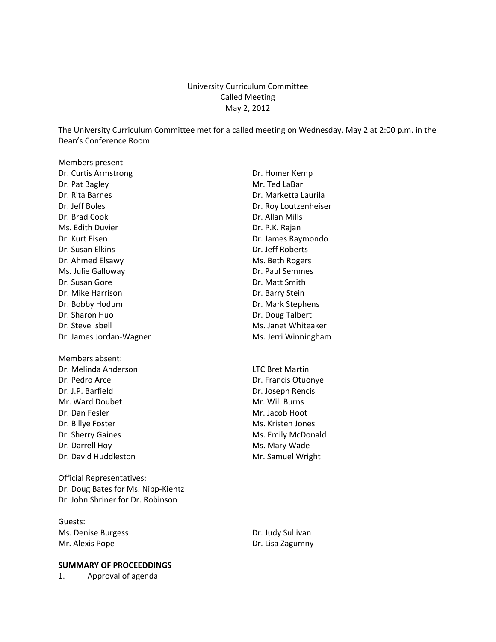# University Curriculum Committee Called Meeting May 2, 2012

The University Curriculum Committee met for a called meeting on Wednesday, May 2 at 2:00 p.m. in the Dean's Conference Room.

Members present Dr. Curtis Armstrong **Dr. Homer Kemp** Dr. Pat Bagley **Mr. Ted LaBar** Dr. Rita Barnes **Dr. Marketta Laurila** Dr. Jeff Boles Dr. Roy Loutzenheiser Dr. Brad Cook Dr. Allan Mills Ms. Edith Duvier **Dr. P.K. Rajan** Dr. Kurt Eisen Dr. James Raymondo Dr. Susan Elkins Dr. Jeff Roberts Dr. Ahmed Elsawy Ms. Beth Rogers Ms. Julie Galloway **Dr. Paul Semmes** Dr. Susan Gore **Dr. Matt Smith** Dr. Mike Harrison **Dr. Barry Stein** Dr. Bobby Hodum Dr. Mark Stephens Dr. Sharon Huo Dr. Doug Talbert Dr. Steve Isbell Ms. Janet Whiteaker Dr. James Jordan-Wagner Ms. Jerri Winningham

Members absent: Dr. Melinda Anderson LTC Bret Martin Dr. Pedro Arce Dr. Francis Otuonye Dr. J.P. Barfield Dr. Joseph Rencis Mr. Ward Doubet Mr. Will Burns Dr. Dan Fesler Music Communication of Mr. Jacob Hoot Dr. Billye Foster Ms. Kristen Jones Dr. Sherry Gaines **Ms.** Emily McDonald Dr. Darrell Hoy Ms. Mary Wade

Official Representatives: Dr. Doug Bates for Ms. Nipp‐Kientz Dr. John Shriner for Dr. Robinson

Guests: Ms. Denise Burgess Dr. Judy Sullivan Mr. Alexis Pope **Dr. Lisa Zagumny** 

#### **SUMMARY OF PROCEEDDINGS**

1. Approval of agenda

Dr. David Huddleston Mr. Samuel Wright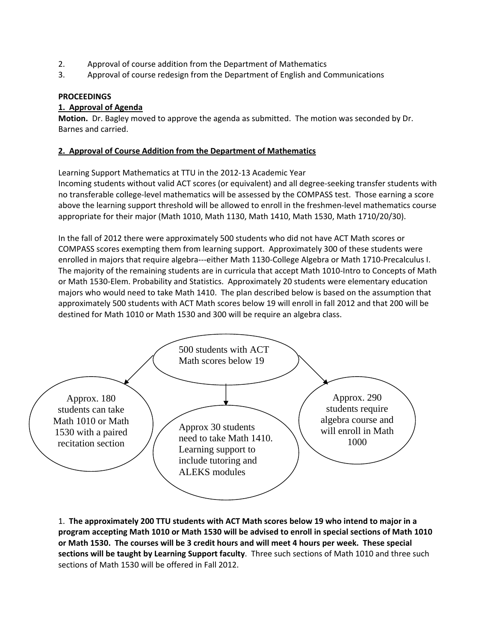- 2. Approval of course addition from the Department of Mathematics
- 3. Approval of course redesign from the Department of English and Communications

### **PROCEEDINGS**

## **1. Approval of Agenda**

**Motion.** Dr. Bagley moved to approve the agenda as submitted. The motion was seconded by Dr. Barnes and carried.

# **2. Approval of Course Addition from the Department of Mathematics**

Learning Support Mathematics at TTU in the 2012‐13 Academic Year Incoming students without valid ACT scores (or equivalent) and all degree‐seeking transfer students with no transferable college‐level mathematics will be assessed by the COMPASS test. Those earning a score above the learning support threshold will be allowed to enroll in the freshmen-level mathematics course appropriate for their major (Math 1010, Math 1130, Math 1410, Math 1530, Math 1710/20/30).

In the fall of 2012 there were approximately 500 students who did not have ACT Math scores or COMPASS scores exempting them from learning support. Approximately 300 of these students were enrolled in majors that require algebra‐‐‐either Math 1130‐College Algebra or Math 1710‐Precalculus I. The majority of the remaining students are in curricula that accept Math 1010-Intro to Concepts of Math or Math 1530‐Elem. Probability and Statistics. Approximately 20 students were elementary education majors who would need to take Math 1410. The plan described below is based on the assumption that approximately 500 students with ACT Math scores below 19 will enroll in fall 2012 and that 200 will be destined for Math 1010 or Math 1530 and 300 will be require an algebra class.



1. **The approximately 200 TTU students with ACT Math scores below 19 who intend to major in a** program accepting Math 1010 or Math 1530 will be advised to enroll in special sections of Math 1010 or Math 1530. The courses will be 3 credit hours and will meet 4 hours per week. These special **sections will be taught by Learning Support faculty**. Three such sections of Math 1010 and three such sections of Math 1530 will be offered in Fall 2012.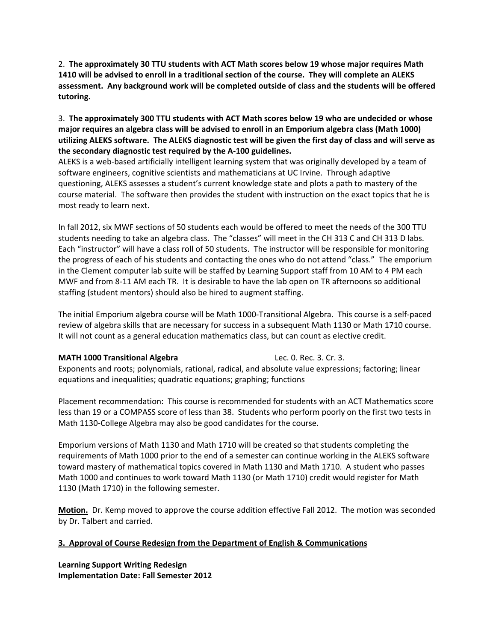2. **The approximately 30 TTU students with ACT Math scores below 19 whose major requires Math** 1410 will be advised to enroll in a traditional section of the course. They will complete an ALEKS **assessment. Any background work will be completed outside of class and the students will be offered tutoring.**

3. **The approximately 300 TTU students with ACT Math scores below 19 who are undecided or whose major requires an algebra class will be advised to enroll in an Emporium algebra class (Math 1000)** utilizing ALEKS software. The ALEKS diagnostic test will be given the first day of class and will serve as **the secondary diagnostic test required by the A‐100 guidelines.** 

ALEKS is a web‐based artificially intelligent learning system that was originally developed by a team of software engineers, cognitive scientists and mathematicians at UC Irvine. Through adaptive questioning, ALEKS assesses a student's current knowledge state and plots a path to mastery of the course material. The software then provides the student with instruction on the exact topics that he is most ready to learn next.

In fall 2012, six MWF sections of 50 students each would be offered to meet the needs of the 300 TTU students needing to take an algebra class. The "classes" will meet in the CH 313 C and CH 313 D labs. Each "instructor" will have a class roll of 50 students. The instructor will be responsible for monitoring the progress of each of his students and contacting the ones who do not attend "class." The emporium in the Clement computer lab suite will be staffed by Learning Support staff from 10 AM to 4 PM each MWF and from 8‐11 AM each TR. It is desirable to have the lab open on TR afternoons so additional staffing (student mentors) should also be hired to augment staffing.

The initial Emporium algebra course will be Math 1000‐Transitional Algebra. This course is a self‐paced review of algebra skills that are necessary for success in a subsequent Math 1130 or Math 1710 course. It will not count as a general education mathematics class, but can count as elective credit.

#### **MATH 1000 Transitional Algebra** Lec. 0. Rec. 3. Cr. 3.

Exponents and roots; polynomials, rational, radical, and absolute value expressions; factoring; linear equations and inequalities; quadratic equations; graphing; functions

Placement recommendation: This course is recommended for students with an ACT Mathematics score less than 19 or a COMPASS score of less than 38. Students who perform poorly on the first two tests in Math 1130‐College Algebra may also be good candidates for the course.

Emporium versions of Math 1130 and Math 1710 will be created so that students completing the requirements of Math 1000 prior to the end of a semester can continue working in the ALEKS software toward mastery of mathematical topics covered in Math 1130 and Math 1710. A student who passes Math 1000 and continues to work toward Math 1130 (or Math 1710) credit would register for Math 1130 (Math 1710) in the following semester.

**Motion.** Dr. Kemp moved to approve the course addition effective Fall 2012. The motion was seconded by Dr. Talbert and carried.

### **3. Approval of Course Redesign from the Department of English & Communications**

**Learning Support Writing Redesign Implementation Date: Fall Semester 2012**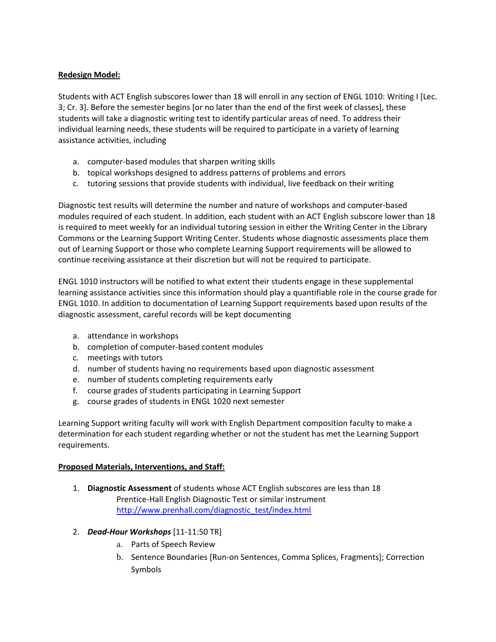# **Redesign Model:**

Students with ACT English subscores lower than 18 will enroll in any section of ENGL 1010: Writing I [Lec. 3; Cr. 3]. Before the semester begins [or no later than the end of the first week of classes], these students will take a diagnostic writing test to identify particular areas of need. To address their individual learning needs, these students will be required to participate in a variety of learning assistance activities, including

- a. computer‐based modules that sharpen writing skills
- b. topical workshops designed to address patterns of problems and errors
- c. tutoring sessions that provide students with individual, live feedback on their writing

Diagnostic test results will determine the number and nature of workshops and computer‐based modules required of each student. In addition, each student with an ACT English subscore lower than 18 is required to meet weekly for an individual tutoring session in either the Writing Center in the Library Commons or the Learning Support Writing Center. Students whose diagnostic assessments place them out of Learning Support or those who complete Learning Support requirements will be allowed to continue receiving assistance at their discretion but will not be required to participate.

ENGL 1010 instructors will be notified to what extent their students engage in these supplemental learning assistance activities since this information should play a quantifiable role in the course grade for ENGL 1010. In addition to documentation of Learning Support requirements based upon results of the diagnostic assessment, careful records will be kept documenting

- a. attendance in workshops
- b. completion of computer‐based content modules
- c. meetings with tutors
- d. number of students having no requirements based upon diagnostic assessment
- e. number of students completing requirements early
- f. course grades of students participating in Learning Support
- g. course grades of students in ENGL 1020 next semester

Learning Support writing faculty will work with English Department composition faculty to make a determination for each student regarding whether or not the student has met the Learning Support requirements.

### **Proposed Materials, Interventions, and Staff:**

- 1. **Diagnostic Assessment** of students whose ACT English subscores are less than 18 Prentice‐Hall English Diagnostic Test or similar instrument http://www.prenhall.com/diagnostic\_test/index.html
- 2. *Dead‐Hour Workshops* [11‐11:50 TR]
	- a. Parts of Speech Review
	- b. Sentence Boundaries [Run‐on Sentences, Comma Splices, Fragments]; Correction Symbols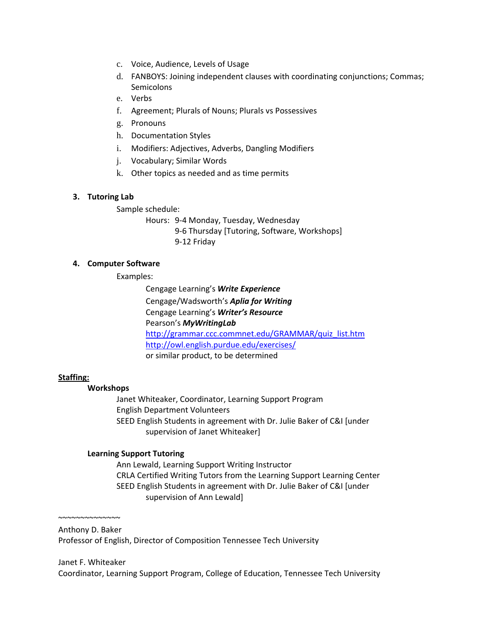- c. Voice, Audience, Levels of Usage
- d. FANBOYS: Joining independent clauses with coordinating conjunctions; Commas; Semicolons
- e. Verbs
- f. Agreement; Plurals of Nouns; Plurals vs Possessives
- g. Pronouns
- h. Documentation Styles
- i. Modifiers: Adjectives, Adverbs, Dangling Modifiers
- j. Vocabulary; Similar Words
- k. Other topics as needed and as time permits

# **3. Tutoring Lab**

Sample schedule:

Hours: 9‐4 Monday, Tuesday, Wednesday 9‐6 Thursday [Tutoring, Software, Workshops] 9‐12 Friday

# **4. Computer Software**

Examples:

Cengage Learning's *Write Experience* Cengage/Wadsworth's *Aplia for Writing* Cengage Learning's *Writer's Resource* Pearson's *MyWritingLab* http://grammar.ccc.commnet.edu/GRAMMAR/quiz\_list.htm http://owl.english.purdue.edu/exercises/ or similar product, to be determined

### **Staffing:**

## **Workshops**

 Janet Whiteaker, Coordinator, Learning Support Program English Department Volunteers SEED English Students in agreement with Dr. Julie Baker of C&I [under supervision of Janet Whiteaker]

# **Learning Support Tutoring**

 Ann Lewald, Learning Support Writing Instructor CRLA Certified Writing Tutors from the Learning Support Learning Center SEED English Students in agreement with Dr. Julie Baker of C&I [under supervision of Ann Lewald]

~~~~~~~~~~~~~~ Anthony D. Baker

Professor of English, Director of Composition Tennessee Tech University

### Janet F. Whiteaker

Coordinator, Learning Support Program, College of Education, Tennessee Tech University